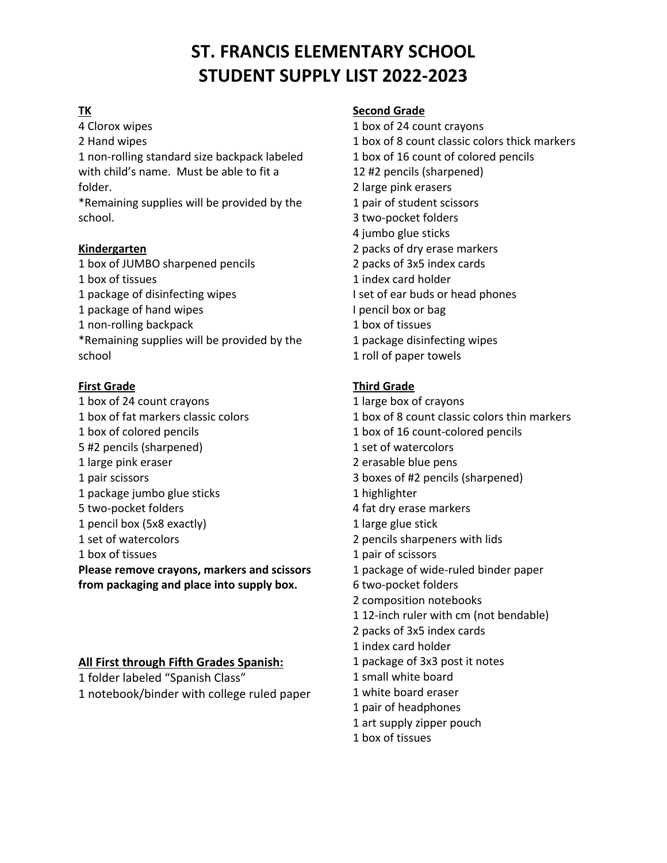# **TK**

4 Clorox wipes 2 Hand wipes 1 non-rolling standard size backpack labeled with child's name. Must be able to fit a folder.

\*Remaining supplies will be provided by the school.

## **Kindergarten**

1 box of JUMBO sharpened pencils 1 box of tissues 1 package of disinfecting wipes 1 package of hand wipes 1 non-rolling backpack \*Remaining supplies will be provided by the school

## **First Grade**

1 box of 24 count crayons 1 box of fat markers classic colors 1 box of colored pencils 5 #2 pencils (sharpened) 1 large pink eraser 1 pair scissors 1 package jumbo glue sticks 5 two-pocket folders 1 pencil box (5x8 exactly) 1 set of watercolors 1 box of tissues **Please remove crayons, markers and scissors from packaging and place into supply box.**

## **All First through Fifth Grades Spanish:**

1 folder labeled "Spanish Class" 1 notebook/binder with college ruled paper

#### **Second Grade**

- 1 box of 24 count crayons 1 box of 8 count classic colors thick markers 1 box of 16 count of colored pencils 12 #2 pencils (sharpened) 2 large pink erasers 1 pair of student scissors 3 two-pocket folders 4 jumbo glue sticks 2 packs of dry erase markers 2 packs of 3x5 index cards 1 index card holder I set of ear buds or head phones I pencil box or bag 1 box of tissues 1 package disinfecting wipes
- 1 roll of paper towels

# **Third Grade**

- 1 large box of crayons 1 box of 8 count classic colors thin markers 1 box of 16 count-colored pencils 1 set of watercolors 2 erasable blue pens 3 boxes of #2 pencils (sharpened) 1 highlighter 4 fat dry erase markers 1 large glue stick 2 pencils sharpeners with lids 1 pair of scissors 1 package of wide-ruled binder paper 6 two-pocket folders 2 composition notebooks 1 12-inch ruler with cm (not bendable) 2 packs of 3x5 index cards 1 index card holder 1 package of 3x3 post it notes 1 small white board 1 white board eraser 1 pair of headphones 1 art supply zipper pouch
	- 1 box of tissues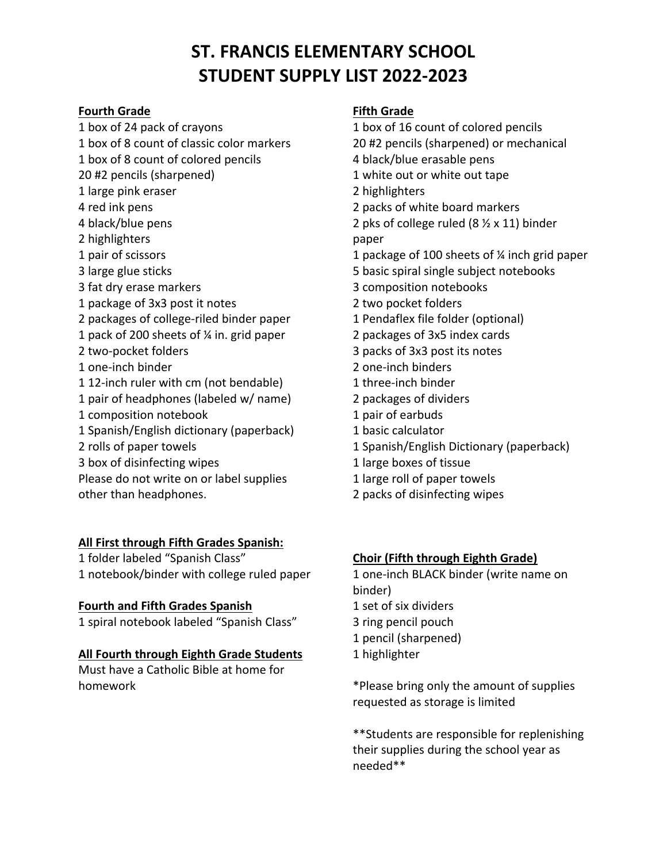#### **Fourth Grade**

1 box of 24 pack of crayons

1 box of 8 count of classic color markers 1 box of 8 count of colored pencils 20 #2 pencils (sharpened) 1 large pink eraser 4 red ink pens 4 black/blue pens 2 highlighters 1 pair of scissors 3 large glue sticks 3 fat dry erase markers 1 package of 3x3 post it notes 2 packages of college-riled binder paper 1 pack of 200 sheets of ¼ in. grid paper 2 two-pocket folders 1 one-inch binder 1 12-inch ruler with cm (not bendable) 1 pair of headphones (labeled w/ name) 1 composition notebook 1 Spanish/English dictionary (paperback) 2 rolls of paper towels 3 box of disinfecting wipes Please do not write on or label supplies

other than headphones.

**All First through Fifth Grades Spanish:** 1 folder labeled "Spanish Class"

1 notebook/binder with college ruled paper

## **Fourth and Fifth Grades Spanish**

1 spiral notebook labeled "Spanish Class"

# **All Fourth through Eighth Grade Students**

Must have a Catholic Bible at home for homework

# **Fifth Grade**

1 box of 16 count of colored pencils 20 #2 pencils (sharpened) or mechanical 4 black/blue erasable pens 1 white out or white out tape 2 highlighters 2 packs of white board markers 2 pks of college ruled (8 ½ x 11) binder paper 1 package of 100 sheets of ¼ inch grid paper 5 basic spiral single subject notebooks 3 composition notebooks 2 two pocket folders 1 Pendaflex file folder (optional) 2 packages of 3x5 index cards 3 packs of 3x3 post its notes 2 one-inch binders 1 three-inch binder 2 packages of dividers 1 pair of earbuds 1 basic calculator 1 Spanish/English Dictionary (paperback) 1 large boxes of tissue 1 large roll of paper towels

2 packs of disinfecting wipes

# **Choir (Fifth through Eighth Grade)**

1 one-inch BLACK binder (write name on binder) 1 set of six dividers 3 ring pencil pouch 1 pencil (sharpened) 1 highlighter

\*Please bring only the amount of supplies requested as storage is limited

\*\*Students are responsible for replenishing their supplies during the school year as needed\*\*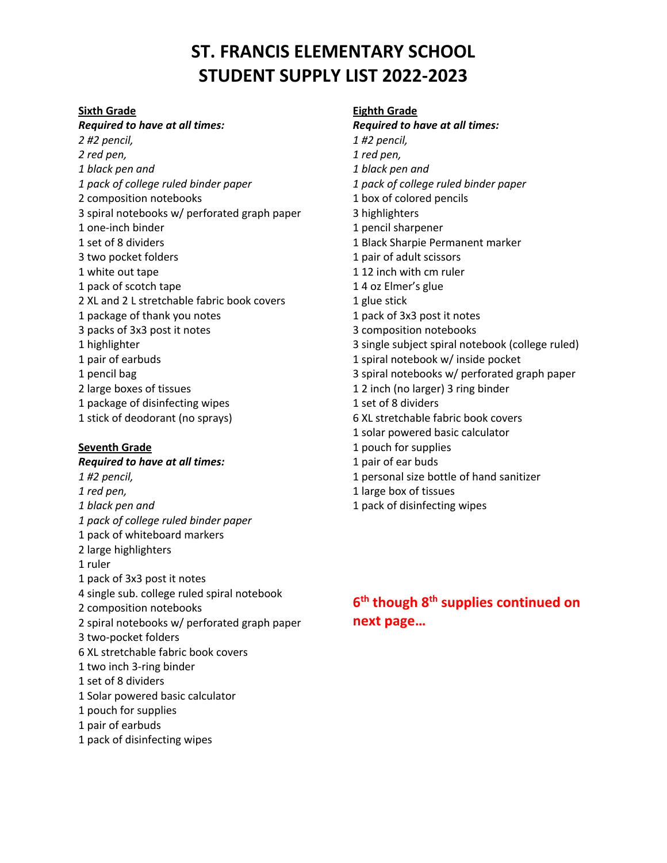#### **Sixth Grade**

#### *Required to have at all times:*

*2 #2 pencil, 2 red pen, 1 black pen and 1 pack of college ruled binder paper* 2 composition notebooks 3 spiral notebooks w/ perforated graph paper 1 one-inch binder 1 set of 8 dividers 3 two pocket folders 1 white out tape 1 pack of scotch tape 2 XL and 2 L stretchable fabric book covers 1 package of thank you notes 3 packs of 3x3 post it notes 1 highlighter 1 pair of earbuds 1 pencil bag 2 large boxes of tissues 1 package of disinfecting wipes 1 stick of deodorant (no sprays)

#### **Seventh Grade**

*Required to have at all times: 1 #2 pencil, 1 red pen, 1 black pen and 1 pack of college ruled binder paper* 1 pack of whiteboard markers 2 large highlighters 1 ruler 1 pack of 3x3 post it notes 4 single sub. college ruled spiral notebook 2 composition notebooks 2 spiral notebooks w/ perforated graph paper 3 two-pocket folders 6 XL stretchable fabric book covers 1 two inch 3-ring binder 1 set of 8 dividers 1 Solar powered basic calculator 1 pouch for supplies 1 pair of earbuds 1 pack of disinfecting wipes

**Eighth Grade** *Required to have at all times: 1 #2 pencil, 1 red pen, 1 black pen and 1 pack of college ruled binder paper* 1 box of colored pencils 3 highlighters 1 pencil sharpener 1 Black Sharpie Permanent marker 1 pair of adult scissors 1 12 inch with cm ruler 1 4 oz Elmer's glue 1 glue stick 1 pack of 3x3 post it notes 3 composition notebooks 3 single subject spiral notebook (college ruled) 1 spiral notebook w/ inside pocket 3 spiral notebooks w/ perforated graph paper 1 2 inch (no larger) 3 ring binder 1 set of 8 dividers 6 XL stretchable fabric book covers 1 solar powered basic calculator 1 pouch for supplies 1 pair of ear buds 1 personal size bottle of hand sanitizer 1 large box of tissues 1 pack of disinfecting wipes

# **6th though 8th supplies continued on next page…**